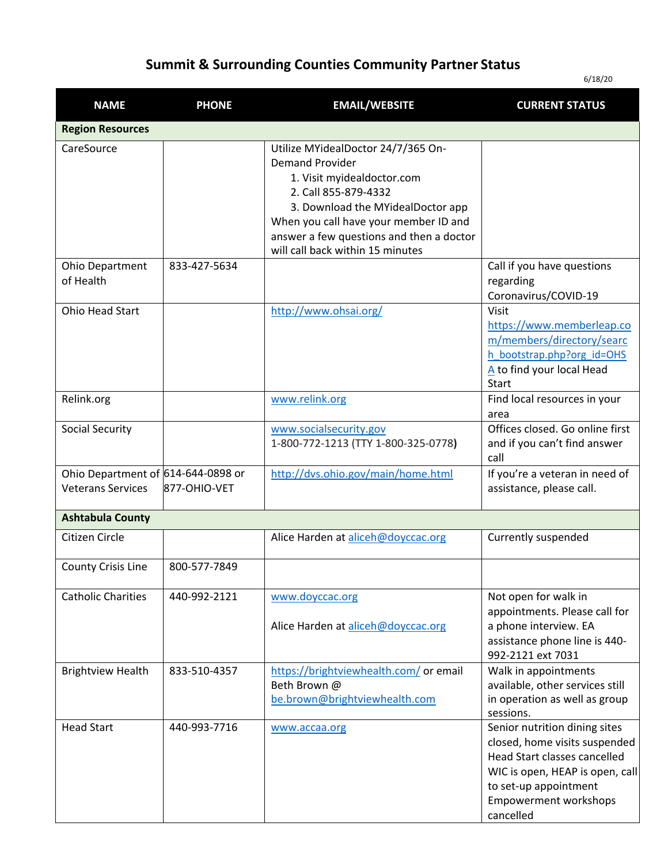## **Summit & Surrounding Counties Community Partner Status**

6/18/20

| <b>NAME</b>                                                    | <b>PHONE</b> | <b>EMAIL/WEBSITE</b>                                                                                                                                                                                                                                                             | <b>CURRENT STATUS</b>                                                                                                                                                                                   |
|----------------------------------------------------------------|--------------|----------------------------------------------------------------------------------------------------------------------------------------------------------------------------------------------------------------------------------------------------------------------------------|---------------------------------------------------------------------------------------------------------------------------------------------------------------------------------------------------------|
| <b>Region Resources</b>                                        |              |                                                                                                                                                                                                                                                                                  |                                                                                                                                                                                                         |
| CareSource                                                     |              | Utilize MYidealDoctor 24/7/365 On-<br><b>Demand Provider</b><br>1. Visit myidealdoctor.com<br>2. Call 855-879-4332<br>3. Download the MYidealDoctor app<br>When you call have your member ID and<br>answer a few questions and then a doctor<br>will call back within 15 minutes |                                                                                                                                                                                                         |
| <b>Ohio Department</b><br>of Health                            | 833-427-5634 |                                                                                                                                                                                                                                                                                  | Call if you have questions<br>regarding<br>Coronavirus/COVID-19                                                                                                                                         |
| Ohio Head Start                                                |              | http://www.ohsai.org/                                                                                                                                                                                                                                                            | Visit<br>https://www.memberleap.co<br>m/members/directory/searc<br>h bootstrap.php?org_id=OHS<br>A to find your local Head<br>Start                                                                     |
| Relink.org                                                     |              | www.relink.org                                                                                                                                                                                                                                                                   | Find local resources in your<br>area                                                                                                                                                                    |
| <b>Social Security</b>                                         |              | www.socialsecurity.gov<br>1-800-772-1213 (TTY 1-800-325-0778)                                                                                                                                                                                                                    | Offices closed. Go online first<br>and if you can't find answer<br>call                                                                                                                                 |
| Ohio Department of 614-644-0898 or<br><b>Veterans Services</b> | 877-OHIO-VET | http://dvs.ohio.gov/main/home.html                                                                                                                                                                                                                                               | If you're a veteran in need of<br>assistance, please call.                                                                                                                                              |
| <b>Ashtabula County</b>                                        |              |                                                                                                                                                                                                                                                                                  |                                                                                                                                                                                                         |
| Citizen Circle                                                 |              | Alice Harden at aliceh@doyccac.org                                                                                                                                                                                                                                               | Currently suspended                                                                                                                                                                                     |
| County Crisis Line                                             | 800-577-7849 |                                                                                                                                                                                                                                                                                  |                                                                                                                                                                                                         |
| <b>Catholic Charities</b>                                      | 440-992-2121 | www.doyccac.org<br>Alice Harden at aliceh@doyccac.org                                                                                                                                                                                                                            | Not open for walk in<br>appointments. Please call for<br>a phone interview. EA<br>assistance phone line is 440-<br>992-2121 ext 7031                                                                    |
| <b>Brightview Health</b>                                       | 833-510-4357 | https://brightviewhealth.com/ or email<br>Beth Brown @<br>be.brown@brightviewhealth.com                                                                                                                                                                                          | Walk in appointments<br>available, other services still<br>in operation as well as group<br>sessions.                                                                                                   |
| <b>Head Start</b>                                              | 440-993-7716 | www.accaa.org                                                                                                                                                                                                                                                                    | Senior nutrition dining sites<br>closed, home visits suspended<br>Head Start classes cancelled<br>WIC is open, HEAP is open, call<br>to set-up appointment<br><b>Empowerment workshops</b><br>cancelled |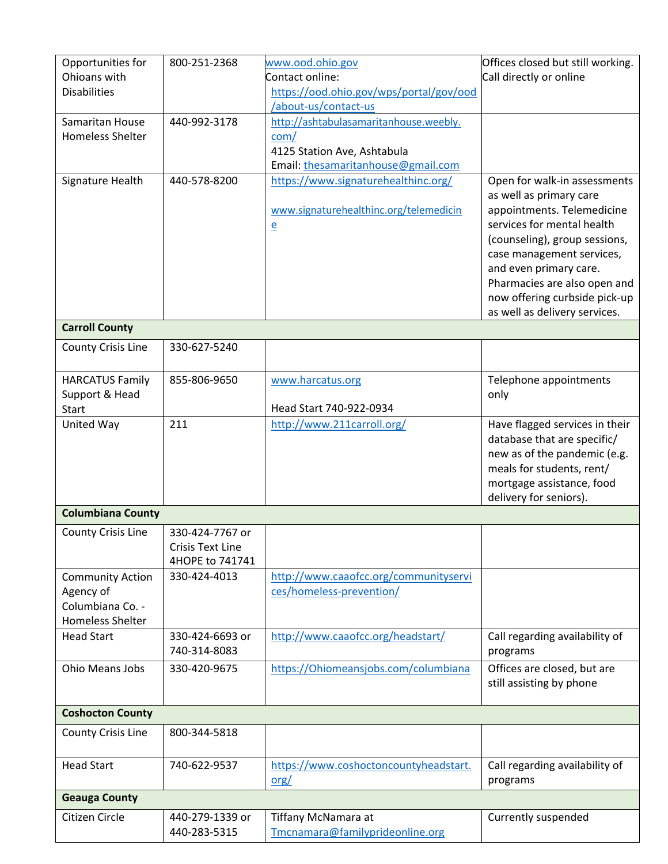| Opportunities for<br>Ohioans with | 800-251-2368            | www.ood.ohio.gov<br>Contact online:     | Offices closed but still working.<br>Call directly or online |
|-----------------------------------|-------------------------|-----------------------------------------|--------------------------------------------------------------|
| <b>Disabilities</b>               |                         |                                         |                                                              |
|                                   |                         | https://ood.ohio.gov/wps/portal/gov/ood |                                                              |
|                                   |                         | /about-us/contact-us                    |                                                              |
| Samaritan House                   | 440-992-3178            | http://ashtabulasamaritanhouse.weebly.  |                                                              |
| <b>Homeless Shelter</b>           |                         | com/                                    |                                                              |
|                                   |                         | 4125 Station Ave, Ashtabula             |                                                              |
|                                   |                         | Email: thesamaritanhouse@gmail.com      |                                                              |
| Signature Health                  | 440-578-8200            | https://www.signaturehealthinc.org/     | Open for walk-in assessments                                 |
|                                   |                         |                                         | as well as primary care                                      |
|                                   |                         | www.signaturehealthinc.org/telemedicin  | appointments. Telemedicine                                   |
|                                   |                         |                                         | services for mental health                                   |
|                                   |                         | $\mathbf{e}$                            |                                                              |
|                                   |                         |                                         | (counseling), group sessions,                                |
|                                   |                         |                                         | case management services,                                    |
|                                   |                         |                                         | and even primary care.                                       |
|                                   |                         |                                         | Pharmacies are also open and                                 |
|                                   |                         |                                         | now offering curbside pick-up                                |
|                                   |                         |                                         | as well as delivery services.                                |
| <b>Carroll County</b>             |                         |                                         |                                                              |
| <b>County Crisis Line</b>         | 330-627-5240            |                                         |                                                              |
|                                   |                         |                                         |                                                              |
| <b>HARCATUS Family</b>            | 855-806-9650            | www.harcatus.org                        | Telephone appointments                                       |
| Support & Head                    |                         |                                         | only                                                         |
| <b>Start</b>                      |                         | Head Start 740-922-0934                 |                                                              |
| United Way                        | 211                     |                                         |                                                              |
|                                   |                         | http://www.211carroll.org/              | Have flagged services in their                               |
|                                   |                         |                                         | database that are specific/                                  |
|                                   |                         |                                         | new as of the pandemic (e.g.                                 |
|                                   |                         |                                         | meals for students, rent/                                    |
|                                   |                         |                                         | mortgage assistance, food                                    |
|                                   |                         |                                         | delivery for seniors).                                       |
| <b>Columbiana County</b>          |                         |                                         |                                                              |
| <b>County Crisis Line</b>         | 330-424-7767 or         |                                         |                                                              |
|                                   | <b>Crisis Text Line</b> |                                         |                                                              |
|                                   | 4HOPE to 741741         |                                         |                                                              |
| <b>Community Action</b>           | 330-424-4013            | http://www.caaofcc.org/communityservi   |                                                              |
| Agency of                         |                         | ces/homeless-prevention/                |                                                              |
| Columbiana Co. -                  |                         |                                         |                                                              |
| <b>Homeless Shelter</b>           |                         |                                         |                                                              |
|                                   |                         |                                         |                                                              |
| <b>Head Start</b>                 | 330-424-6693 or         | http://www.caaofcc.org/headstart/       | Call regarding availability of                               |
|                                   | 740-314-8083            |                                         | programs                                                     |
| Ohio Means Jobs                   | 330-420-9675            | https://Ohiomeansjobs.com/columbiana    | Offices are closed, but are                                  |
|                                   |                         |                                         | still assisting by phone                                     |
|                                   |                         |                                         |                                                              |
| <b>Coshocton County</b>           |                         |                                         |                                                              |
| County Crisis Line                | 800-344-5818            |                                         |                                                              |
|                                   |                         |                                         |                                                              |
| <b>Head Start</b>                 | 740-622-9537            | https://www.coshoctoncountyheadstart.   | Call regarding availability of                               |
|                                   |                         | $org/$                                  | programs                                                     |
| <b>Geauga County</b>              |                         |                                         |                                                              |
|                                   |                         |                                         |                                                              |
| Citizen Circle                    | 440-279-1339 or         | Tiffany McNamara at                     | Currently suspended                                          |
|                                   | 440-283-5315            | Tmcnamara@familyprideonline.org         |                                                              |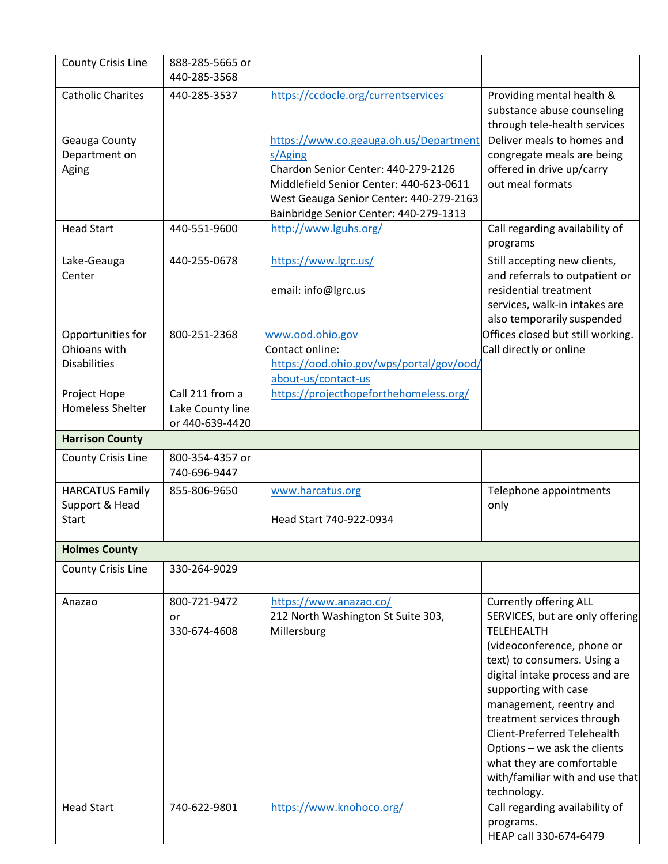| <b>County Crisis Line</b>                                | 888-285-5665 or<br>440-285-3568                        |                                                                                                                                                                                                                          |                                                                                                                                                                                                                                                                                                                                                                                                              |
|----------------------------------------------------------|--------------------------------------------------------|--------------------------------------------------------------------------------------------------------------------------------------------------------------------------------------------------------------------------|--------------------------------------------------------------------------------------------------------------------------------------------------------------------------------------------------------------------------------------------------------------------------------------------------------------------------------------------------------------------------------------------------------------|
| <b>Catholic Charites</b>                                 | 440-285-3537                                           | https://ccdocle.org/currentservices                                                                                                                                                                                      | Providing mental health &<br>substance abuse counseling<br>through tele-health services                                                                                                                                                                                                                                                                                                                      |
| Geauga County<br>Department on<br>Aging                  |                                                        | https://www.co.geauga.oh.us/Department<br>s/Aging<br>Chardon Senior Center: 440-279-2126<br>Middlefield Senior Center: 440-623-0611<br>West Geauga Senior Center: 440-279-2163<br>Bainbridge Senior Center: 440-279-1313 | Deliver meals to homes and<br>congregate meals are being<br>offered in drive up/carry<br>out meal formats                                                                                                                                                                                                                                                                                                    |
| <b>Head Start</b>                                        | 440-551-9600                                           | http://www.lguhs.org/                                                                                                                                                                                                    | Call regarding availability of<br>programs                                                                                                                                                                                                                                                                                                                                                                   |
| Lake-Geauga<br>Center                                    | 440-255-0678                                           | https://www.lgrc.us/<br>email: info@lgrc.us                                                                                                                                                                              | Still accepting new clients,<br>and referrals to outpatient or<br>residential treatment<br>services, walk-in intakes are<br>also temporarily suspended                                                                                                                                                                                                                                                       |
| Opportunities for<br>Ohioans with<br><b>Disabilities</b> | 800-251-2368                                           | www.ood.ohio.gov<br>Contact online:<br>https://ood.ohio.gov/wps/portal/gov/ood/<br>about-us/contact-us                                                                                                                   | Offices closed but still working.<br>Call directly or online                                                                                                                                                                                                                                                                                                                                                 |
| Project Hope<br><b>Homeless Shelter</b>                  | Call 211 from a<br>Lake County line<br>or 440-639-4420 | https://projecthopeforthehomeless.org/                                                                                                                                                                                   |                                                                                                                                                                                                                                                                                                                                                                                                              |
| <b>Harrison County</b>                                   |                                                        |                                                                                                                                                                                                                          |                                                                                                                                                                                                                                                                                                                                                                                                              |
| <b>County Crisis Line</b>                                | 800-354-4357 or<br>740-696-9447                        |                                                                                                                                                                                                                          |                                                                                                                                                                                                                                                                                                                                                                                                              |
| <b>HARCATUS Family</b><br>Support & Head<br><b>Start</b> | 855-806-9650                                           | www.harcatus.org<br>Head Start 740-922-0934                                                                                                                                                                              | Telephone appointments<br>only                                                                                                                                                                                                                                                                                                                                                                               |
| <b>Holmes County</b>                                     |                                                        |                                                                                                                                                                                                                          |                                                                                                                                                                                                                                                                                                                                                                                                              |
| County Crisis Line                                       | 330-264-9029                                           |                                                                                                                                                                                                                          |                                                                                                                                                                                                                                                                                                                                                                                                              |
| Anazao                                                   | 800-721-9472<br>or<br>330-674-4608                     | https://www.anazao.co/<br>212 North Washington St Suite 303,<br>Millersburg                                                                                                                                              | <b>Currently offering ALL</b><br>SERVICES, but are only offering<br>TELEHEALTH<br>(videoconference, phone or<br>text) to consumers. Using a<br>digital intake process and are<br>supporting with case<br>management, reentry and<br>treatment services through<br>Client-Preferred Telehealth<br>Options - we ask the clients<br>what they are comfortable<br>with/familiar with and use that<br>technology. |
| <b>Head Start</b>                                        | 740-622-9801                                           | https://www.knohoco.org/                                                                                                                                                                                                 | Call regarding availability of<br>programs.<br>HEAP call 330-674-6479                                                                                                                                                                                                                                                                                                                                        |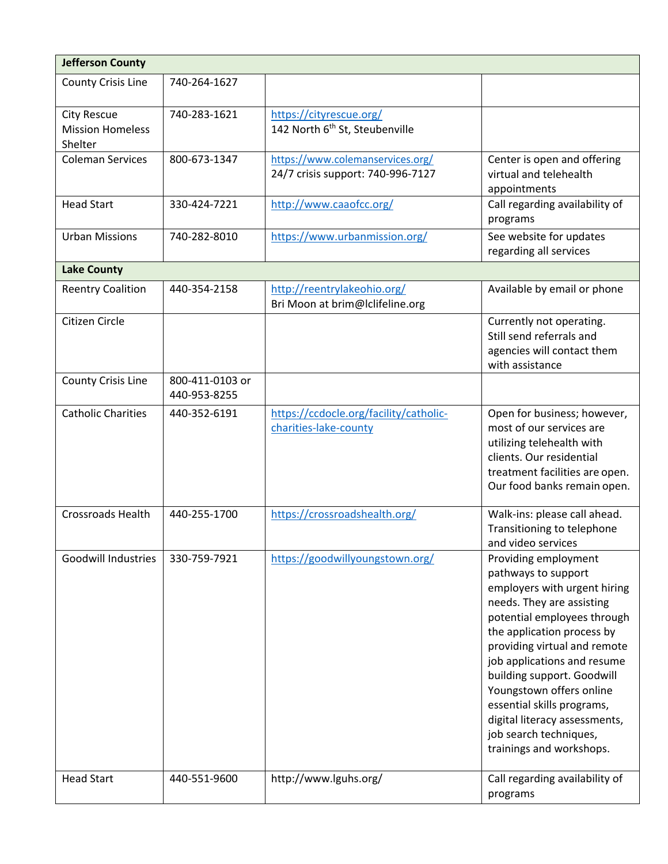| <b>Jefferson County</b>                                  |                                 |                                                                       |                                                                                                                                                                                                                                                                                                                                                                                                                     |
|----------------------------------------------------------|---------------------------------|-----------------------------------------------------------------------|---------------------------------------------------------------------------------------------------------------------------------------------------------------------------------------------------------------------------------------------------------------------------------------------------------------------------------------------------------------------------------------------------------------------|
| County Crisis Line                                       | 740-264-1627                    |                                                                       |                                                                                                                                                                                                                                                                                                                                                                                                                     |
| <b>City Rescue</b><br><b>Mission Homeless</b><br>Shelter | 740-283-1621                    | https://cityrescue.org/<br>142 North 6 <sup>th</sup> St, Steubenville |                                                                                                                                                                                                                                                                                                                                                                                                                     |
| <b>Coleman Services</b>                                  | 800-673-1347                    | https://www.colemanservices.org/<br>24/7 crisis support: 740-996-7127 | Center is open and offering<br>virtual and telehealth<br>appointments                                                                                                                                                                                                                                                                                                                                               |
| <b>Head Start</b>                                        | 330-424-7221                    | http://www.caaofcc.org/                                               | Call regarding availability of<br>programs                                                                                                                                                                                                                                                                                                                                                                          |
| <b>Urban Missions</b>                                    | 740-282-8010                    | https://www.urbanmission.org/                                         | See website for updates<br>regarding all services                                                                                                                                                                                                                                                                                                                                                                   |
| <b>Lake County</b>                                       |                                 |                                                                       |                                                                                                                                                                                                                                                                                                                                                                                                                     |
| <b>Reentry Coalition</b>                                 | 440-354-2158                    | http://reentrylakeohio.org/<br>Bri Moon at brim@lclifeline.org        | Available by email or phone                                                                                                                                                                                                                                                                                                                                                                                         |
| Citizen Circle                                           |                                 |                                                                       | Currently not operating.<br>Still send referrals and<br>agencies will contact them<br>with assistance                                                                                                                                                                                                                                                                                                               |
| <b>County Crisis Line</b>                                | 800-411-0103 or<br>440-953-8255 |                                                                       |                                                                                                                                                                                                                                                                                                                                                                                                                     |
| <b>Catholic Charities</b>                                | 440-352-6191                    | https://ccdocle.org/facility/catholic-<br>charities-lake-county       | Open for business; however,<br>most of our services are<br>utilizing telehealth with<br>clients. Our residential<br>treatment facilities are open.<br>Our food banks remain open.                                                                                                                                                                                                                                   |
| <b>Crossroads Health</b>                                 | 440-255-1700                    | https://crossroadshealth.org/                                         | Walk-ins: please call ahead.<br>Transitioning to telephone<br>and video services                                                                                                                                                                                                                                                                                                                                    |
| <b>Goodwill Industries</b>                               | 330-759-7921                    | https://goodwillyoungstown.org/                                       | Providing employment<br>pathways to support<br>employers with urgent hiring<br>needs. They are assisting<br>potential employees through<br>the application process by<br>providing virtual and remote<br>job applications and resume<br>building support. Goodwill<br>Youngstown offers online<br>essential skills programs,<br>digital literacy assessments,<br>job search techniques,<br>trainings and workshops. |
| <b>Head Start</b>                                        | 440-551-9600                    | http://www.lguhs.org/                                                 | Call regarding availability of<br>programs                                                                                                                                                                                                                                                                                                                                                                          |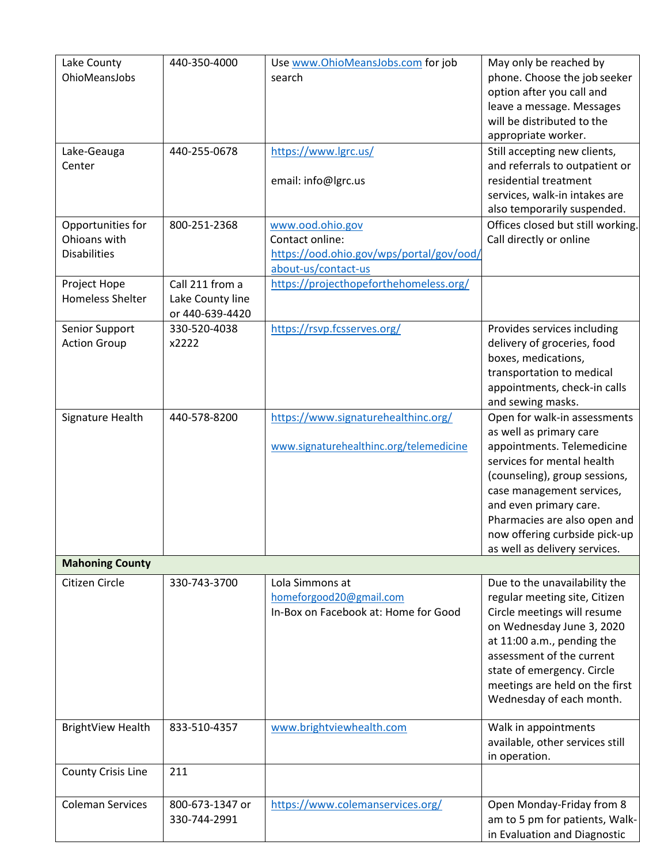| Lake County                         | 440-350-4000     | Use www.OhioMeansJobs.com for job                               | May only be reached by                                   |
|-------------------------------------|------------------|-----------------------------------------------------------------|----------------------------------------------------------|
| OhioMeansJobs                       |                  | search                                                          | phone. Choose the job seeker                             |
|                                     |                  |                                                                 | option after you call and<br>leave a message. Messages   |
|                                     |                  |                                                                 | will be distributed to the                               |
|                                     |                  |                                                                 | appropriate worker.                                      |
| Lake-Geauga                         | 440-255-0678     | https://www.lgrc.us/                                            | Still accepting new clients,                             |
| Center                              |                  |                                                                 | and referrals to outpatient or                           |
|                                     |                  | email: info@lgrc.us                                             | residential treatment                                    |
|                                     |                  |                                                                 | services, walk-in intakes are                            |
|                                     |                  |                                                                 | also temporarily suspended.                              |
| Opportunities for                   | 800-251-2368     | www.ood.ohio.gov                                                | Offices closed but still working.                        |
| Ohioans with<br><b>Disabilities</b> |                  | Contact online:                                                 | Call directly or online                                  |
|                                     |                  | https://ood.ohio.gov/wps/portal/gov/ood/<br>about-us/contact-us |                                                          |
| Project Hope                        | Call 211 from a  | https://projecthopeforthehomeless.org/                          |                                                          |
| <b>Homeless Shelter</b>             | Lake County line |                                                                 |                                                          |
|                                     | or 440-639-4420  |                                                                 |                                                          |
| Senior Support                      | 330-520-4038     | https://rsvp.fcsserves.org/                                     | Provides services including                              |
| <b>Action Group</b>                 | x2222            |                                                                 | delivery of groceries, food                              |
|                                     |                  |                                                                 | boxes, medications,                                      |
|                                     |                  |                                                                 | transportation to medical                                |
|                                     |                  |                                                                 | appointments, check-in calls                             |
|                                     |                  |                                                                 | and sewing masks.                                        |
| Signature Health                    | 440-578-8200     | https://www.signaturehealthinc.org/                             | Open for walk-in assessments                             |
|                                     |                  |                                                                 | as well as primary care                                  |
|                                     |                  | www.signaturehealthinc.org/telemedicine                         | appointments. Telemedicine<br>services for mental health |
|                                     |                  |                                                                 | (counseling), group sessions,                            |
|                                     |                  |                                                                 | case management services,                                |
|                                     |                  |                                                                 | and even primary care.                                   |
|                                     |                  |                                                                 | Pharmacies are also open and                             |
|                                     |                  |                                                                 | now offering curbside pick-up                            |
|                                     |                  |                                                                 | as well as delivery services.                            |
| <b>Mahoning County</b>              |                  |                                                                 |                                                          |
| Citizen Circle                      | 330-743-3700     | Lola Simmons at                                                 | Due to the unavailability the                            |
|                                     |                  | homeforgood20@gmail.com                                         | regular meeting site, Citizen                            |
|                                     |                  | In-Box on Facebook at: Home for Good                            | Circle meetings will resume                              |
|                                     |                  |                                                                 | on Wednesday June 3, 2020                                |
|                                     |                  |                                                                 | at 11:00 a.m., pending the<br>assessment of the current  |
|                                     |                  |                                                                 | state of emergency. Circle                               |
|                                     |                  |                                                                 | meetings are held on the first                           |
|                                     |                  |                                                                 | Wednesday of each month.                                 |
|                                     |                  |                                                                 |                                                          |
| <b>BrightView Health</b>            | 833-510-4357     | www.brightviewhealth.com                                        | Walk in appointments                                     |
|                                     |                  |                                                                 | available, other services still                          |
|                                     | 211              |                                                                 | in operation.                                            |
| <b>County Crisis Line</b>           |                  |                                                                 |                                                          |
| <b>Coleman Services</b>             | 800-673-1347 or  | https://www.colemanservices.org/                                | Open Monday-Friday from 8                                |
|                                     | 330-744-2991     |                                                                 | am to 5 pm for patients, Walk-                           |
|                                     |                  |                                                                 | in Evaluation and Diagnostic                             |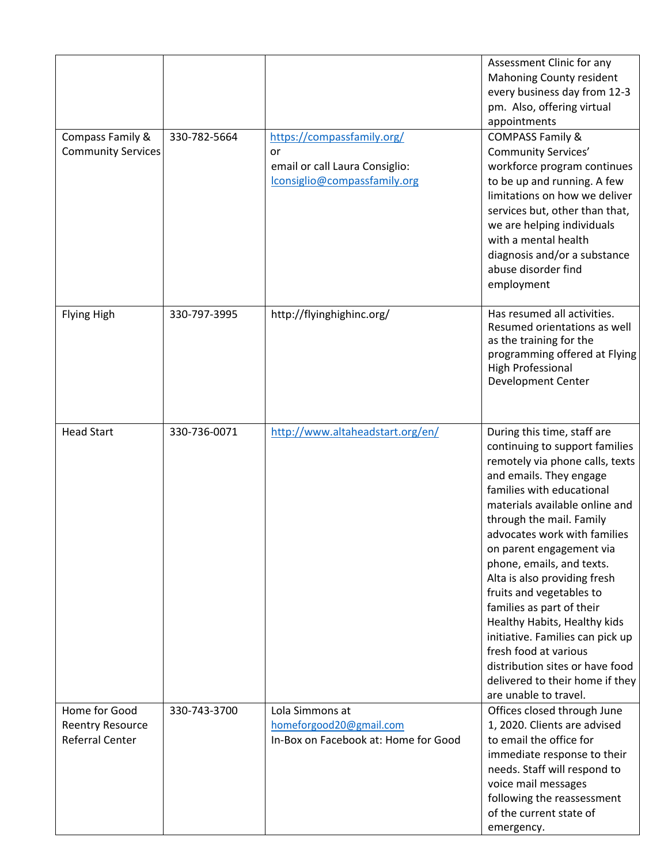|                                                                    |              |                                                                                                    | Assessment Clinic for any<br><b>Mahoning County resident</b><br>every business day from 12-3<br>pm. Also, offering virtual<br>appointments                                                                                                                                                                                                                                                                                                                                                                                                                                                           |
|--------------------------------------------------------------------|--------------|----------------------------------------------------------------------------------------------------|------------------------------------------------------------------------------------------------------------------------------------------------------------------------------------------------------------------------------------------------------------------------------------------------------------------------------------------------------------------------------------------------------------------------------------------------------------------------------------------------------------------------------------------------------------------------------------------------------|
| Compass Family &<br><b>Community Services</b>                      | 330-782-5664 | https://compassfamily.org/<br>or<br>email or call Laura Consiglio:<br>lconsiglio@compassfamily.org | <b>COMPASS Family &amp;</b><br><b>Community Services'</b><br>workforce program continues<br>to be up and running. A few<br>limitations on how we deliver<br>services but, other than that,<br>we are helping individuals<br>with a mental health<br>diagnosis and/or a substance<br>abuse disorder find<br>employment                                                                                                                                                                                                                                                                                |
| <b>Flying High</b>                                                 | 330-797-3995 | http://flyinghighinc.org/                                                                          | Has resumed all activities.<br>Resumed orientations as well<br>as the training for the<br>programming offered at Flying<br><b>High Professional</b><br>Development Center                                                                                                                                                                                                                                                                                                                                                                                                                            |
| <b>Head Start</b>                                                  | 330-736-0071 | http://www.altaheadstart.org/en/                                                                   | During this time, staff are<br>continuing to support families<br>remotely via phone calls, texts<br>and emails. They engage<br>families with educational<br>materials available online and<br>through the mail. Family<br>advocates work with families<br>on parent engagement via<br>phone, emails, and texts.<br>Alta is also providing fresh<br>fruits and vegetables to<br>families as part of their<br>Healthy Habits, Healthy kids<br>initiative. Families can pick up<br>fresh food at various<br>distribution sites or have food<br>delivered to their home if they<br>are unable to travel. |
| Home for Good<br><b>Reentry Resource</b><br><b>Referral Center</b> | 330-743-3700 | Lola Simmons at<br>homeforgood20@gmail.com<br>In-Box on Facebook at: Home for Good                 | Offices closed through June<br>1, 2020. Clients are advised<br>to email the office for<br>immediate response to their<br>needs. Staff will respond to<br>voice mail messages<br>following the reassessment<br>of the current state of<br>emergency.                                                                                                                                                                                                                                                                                                                                                  |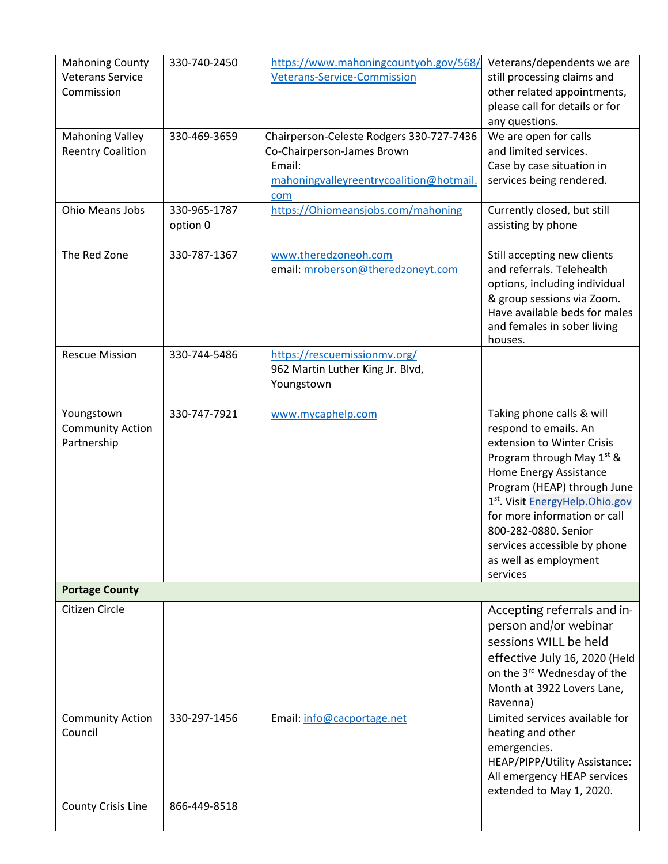| <b>Mahoning County</b><br><b>Veterans Service</b><br>Commission | 330-740-2450             | https://www.mahoningcountyoh.gov/568/<br><b>Veterans-Service-Commission</b>                                                        | Veterans/dependents we are<br>still processing claims and<br>other related appointments,<br>please call for details or for<br>any questions.                                                                                                                                                                                                      |
|-----------------------------------------------------------------|--------------------------|------------------------------------------------------------------------------------------------------------------------------------|---------------------------------------------------------------------------------------------------------------------------------------------------------------------------------------------------------------------------------------------------------------------------------------------------------------------------------------------------|
| <b>Mahoning Valley</b><br><b>Reentry Coalition</b>              | 330-469-3659             | Chairperson-Celeste Rodgers 330-727-7436<br>Co-Chairperson-James Brown<br>Email:<br>mahoningvalleyreentrycoalition@hotmail.<br>com | We are open for calls<br>and limited services.<br>Case by case situation in<br>services being rendered.                                                                                                                                                                                                                                           |
| <b>Ohio Means Jobs</b>                                          | 330-965-1787<br>option 0 | https://Ohiomeansjobs.com/mahoning                                                                                                 | Currently closed, but still<br>assisting by phone                                                                                                                                                                                                                                                                                                 |
| The Red Zone                                                    | 330-787-1367             | www.theredzoneoh.com<br>email: mroberson@theredzoneyt.com                                                                          | Still accepting new clients<br>and referrals. Telehealth<br>options, including individual<br>& group sessions via Zoom.<br>Have available beds for males<br>and females in sober living<br>houses.                                                                                                                                                |
| <b>Rescue Mission</b>                                           | 330-744-5486             | https://rescuemissionmv.org/<br>962 Martin Luther King Jr. Blvd,<br>Youngstown                                                     |                                                                                                                                                                                                                                                                                                                                                   |
| Youngstown<br><b>Community Action</b><br>Partnership            | 330-747-7921             | www.mycaphelp.com                                                                                                                  | Taking phone calls & will<br>respond to emails. An<br>extension to Winter Crisis<br>Program through May 1 <sup>st</sup> &<br>Home Energy Assistance<br>Program (HEAP) through June<br>1st. Visit EnergyHelp.Ohio.gov<br>for more information or call<br>800-282-0880. Senior<br>services accessible by phone<br>as well as employment<br>services |
| <b>Portage County</b>                                           |                          |                                                                                                                                    |                                                                                                                                                                                                                                                                                                                                                   |
| Citizen Circle                                                  |                          |                                                                                                                                    | Accepting referrals and in-<br>person and/or webinar<br>sessions WILL be held<br>effective July 16, 2020 (Held<br>on the 3rd Wednesday of the<br>Month at 3922 Lovers Lane,<br>Ravenna)                                                                                                                                                           |
| <b>Community Action</b><br>Council                              | 330-297-1456             | Email: info@cacportage.net                                                                                                         | Limited services available for<br>heating and other<br>emergencies.<br>HEAP/PIPP/Utility Assistance:<br>All emergency HEAP services<br>extended to May 1, 2020.                                                                                                                                                                                   |
| <b>County Crisis Line</b>                                       | 866-449-8518             |                                                                                                                                    |                                                                                                                                                                                                                                                                                                                                                   |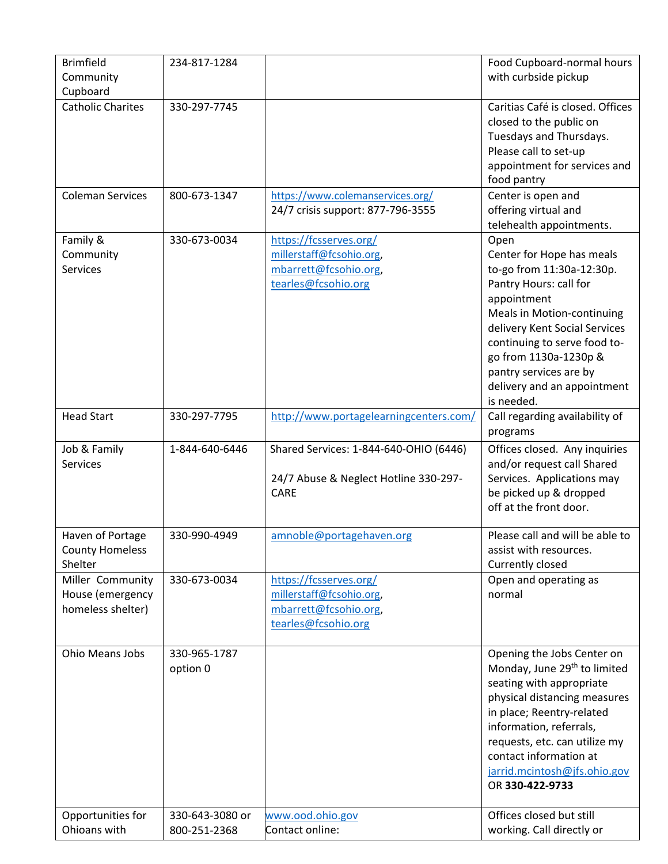| <b>Brimfield</b><br>Community | 234-817-1284    |                                                                       | Food Cupboard-normal hours<br>with curbside pickup                                                                                                             |
|-------------------------------|-----------------|-----------------------------------------------------------------------|----------------------------------------------------------------------------------------------------------------------------------------------------------------|
| Cupboard                      |                 |                                                                       |                                                                                                                                                                |
| <b>Catholic Charites</b>      | 330-297-7745    |                                                                       | Caritias Café is closed. Offices<br>closed to the public on<br>Tuesdays and Thursdays.<br>Please call to set-up<br>appointment for services and<br>food pantry |
| <b>Coleman Services</b>       | 800-673-1347    | https://www.colemanservices.org/<br>24/7 crisis support: 877-796-3555 | Center is open and<br>offering virtual and<br>telehealth appointments.                                                                                         |
| Family &                      | 330-673-0034    | https://fcsserves.org/                                                | Open                                                                                                                                                           |
| Community                     |                 | millerstaff@fcsohio.org,                                              | Center for Hope has meals                                                                                                                                      |
| <b>Services</b>               |                 |                                                                       |                                                                                                                                                                |
|                               |                 | mbarrett@fcsohio.org,                                                 | to-go from 11:30a-12:30p.                                                                                                                                      |
|                               |                 | tearles@fcsohio.org                                                   | Pantry Hours: call for                                                                                                                                         |
|                               |                 |                                                                       | appointment                                                                                                                                                    |
|                               |                 |                                                                       | Meals in Motion-continuing                                                                                                                                     |
|                               |                 |                                                                       | delivery Kent Social Services                                                                                                                                  |
|                               |                 |                                                                       | continuing to serve food to-                                                                                                                                   |
|                               |                 |                                                                       | go from 1130a-1230p &                                                                                                                                          |
|                               |                 |                                                                       | pantry services are by                                                                                                                                         |
|                               |                 |                                                                       | delivery and an appointment                                                                                                                                    |
|                               |                 |                                                                       | is needed.                                                                                                                                                     |
|                               |                 |                                                                       |                                                                                                                                                                |
| <b>Head Start</b>             | 330-297-7795    | http://www.portagelearningcenters.com/                                | Call regarding availability of                                                                                                                                 |
|                               |                 |                                                                       | programs                                                                                                                                                       |
| Job & Family                  | 1-844-640-6446  | Shared Services: 1-844-640-OHIO (6446)                                | Offices closed. Any inquiries                                                                                                                                  |
| <b>Services</b>               |                 |                                                                       | and/or request call Shared                                                                                                                                     |
|                               |                 | 24/7 Abuse & Neglect Hotline 330-297-                                 | Services. Applications may                                                                                                                                     |
|                               |                 | <b>CARE</b>                                                           | be picked up & dropped                                                                                                                                         |
|                               |                 |                                                                       | off at the front door.                                                                                                                                         |
|                               |                 |                                                                       |                                                                                                                                                                |
| Haven of Portage              | 330-990-4949    | amnoble@portagehaven.org                                              | Please call and will be able to                                                                                                                                |
| <b>County Homeless</b>        |                 |                                                                       | assist with resources.                                                                                                                                         |
| Shelter                       |                 |                                                                       | Currently closed                                                                                                                                               |
| Miller Community              | 330-673-0034    | https://fcsserves.org/                                                | Open and operating as                                                                                                                                          |
| House (emergency              |                 | millerstaff@fcsohio.org,                                              | normal                                                                                                                                                         |
|                               |                 |                                                                       |                                                                                                                                                                |
| homeless shelter)             |                 | mbarrett@fcsohio.org,                                                 |                                                                                                                                                                |
|                               |                 | tearles@fcsohio.org                                                   |                                                                                                                                                                |
|                               |                 |                                                                       |                                                                                                                                                                |
| Ohio Means Jobs               | 330-965-1787    |                                                                       | Opening the Jobs Center on                                                                                                                                     |
|                               | option 0        |                                                                       | Monday, June 29 <sup>th</sup> to limited                                                                                                                       |
|                               |                 |                                                                       | seating with appropriate                                                                                                                                       |
|                               |                 |                                                                       | physical distancing measures                                                                                                                                   |
|                               |                 |                                                                       | in place; Reentry-related                                                                                                                                      |
|                               |                 |                                                                       | information, referrals,                                                                                                                                        |
|                               |                 |                                                                       | requests, etc. can utilize my                                                                                                                                  |
|                               |                 |                                                                       | contact information at                                                                                                                                         |
|                               |                 |                                                                       | jarrid.mcintosh@jfs.ohio.gov                                                                                                                                   |
|                               |                 |                                                                       | OR 330-422-9733                                                                                                                                                |
|                               |                 |                                                                       |                                                                                                                                                                |
| Opportunities for             | 330-643-3080 or |                                                                       | Offices closed but still                                                                                                                                       |
|                               |                 | www.ood.ohio.gov<br>Contact online:                                   |                                                                                                                                                                |
| Ohioans with                  | 800-251-2368    |                                                                       | working. Call directly or                                                                                                                                      |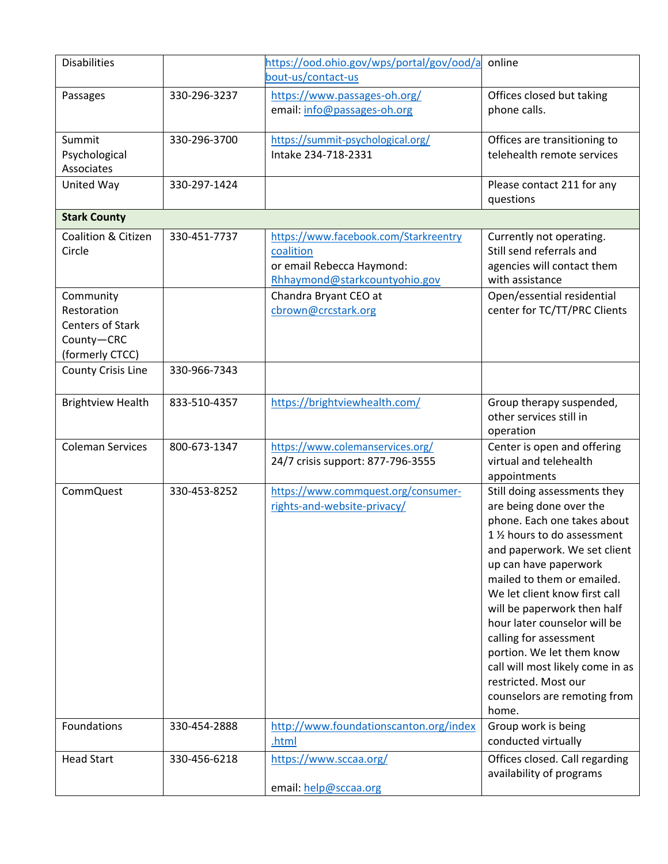| <b>Disabilities</b>                                                                  |              | https://ood.ohio.gov/wps/portal/gov/ood/a<br>bout-us/contact-us                                                  | online                                                                                                                                                                                                                                                                                                                                                                                                                                                                    |
|--------------------------------------------------------------------------------------|--------------|------------------------------------------------------------------------------------------------------------------|---------------------------------------------------------------------------------------------------------------------------------------------------------------------------------------------------------------------------------------------------------------------------------------------------------------------------------------------------------------------------------------------------------------------------------------------------------------------------|
| Passages                                                                             | 330-296-3237 | https://www.passages-oh.org/<br>email: info@passages-oh.org                                                      | Offices closed but taking<br>phone calls.                                                                                                                                                                                                                                                                                                                                                                                                                                 |
| Summit<br>Psychological<br>Associates                                                | 330-296-3700 | https://summit-psychological.org/<br>Intake 234-718-2331                                                         | Offices are transitioning to<br>telehealth remote services                                                                                                                                                                                                                                                                                                                                                                                                                |
| United Way                                                                           | 330-297-1424 |                                                                                                                  | Please contact 211 for any<br>questions                                                                                                                                                                                                                                                                                                                                                                                                                                   |
| <b>Stark County</b>                                                                  |              |                                                                                                                  |                                                                                                                                                                                                                                                                                                                                                                                                                                                                           |
| Coalition & Citizen<br>Circle                                                        | 330-451-7737 | https://www.facebook.com/Starkreentry<br>coalition<br>or email Rebecca Haymond:<br>Rhhaymond@starkcountyohio.gov | Currently not operating.<br>Still send referrals and<br>agencies will contact them<br>with assistance                                                                                                                                                                                                                                                                                                                                                                     |
| Community<br>Restoration<br><b>Centers of Stark</b><br>County-CRC<br>(formerly CTCC) |              | Chandra Bryant CEO at<br>cbrown@crcstark.org                                                                     | Open/essential residential<br>center for TC/TT/PRC Clients                                                                                                                                                                                                                                                                                                                                                                                                                |
| <b>County Crisis Line</b>                                                            | 330-966-7343 |                                                                                                                  |                                                                                                                                                                                                                                                                                                                                                                                                                                                                           |
| <b>Brightview Health</b>                                                             | 833-510-4357 | https://brightviewhealth.com/                                                                                    | Group therapy suspended,<br>other services still in<br>operation                                                                                                                                                                                                                                                                                                                                                                                                          |
| <b>Coleman Services</b>                                                              | 800-673-1347 | https://www.colemanservices.org/<br>24/7 crisis support: 877-796-3555                                            | Center is open and offering<br>virtual and telehealth<br>appointments                                                                                                                                                                                                                                                                                                                                                                                                     |
| <b>CommQuest</b>                                                                     | 330-453-8252 | https://www.commquest.org/consumer-<br>rights-and-website-privacy/                                               | Still doing assessments they<br>are being done over the<br>phone. Each one takes about<br>1 1/2 hours to do assessment<br>and paperwork. We set client<br>up can have paperwork<br>mailed to them or emailed.<br>We let client know first call<br>will be paperwork then half<br>hour later counselor will be<br>calling for assessment<br>portion. We let them know<br>call will most likely come in as<br>restricted. Most our<br>counselors are remoting from<br>home. |
| Foundations                                                                          | 330-454-2888 | http://www.foundationscanton.org/index<br>.html                                                                  | Group work is being<br>conducted virtually                                                                                                                                                                                                                                                                                                                                                                                                                                |
| <b>Head Start</b>                                                                    | 330-456-6218 | https://www.sccaa.org/<br>email: help@sccaa.org                                                                  | Offices closed. Call regarding<br>availability of programs                                                                                                                                                                                                                                                                                                                                                                                                                |
|                                                                                      |              |                                                                                                                  |                                                                                                                                                                                                                                                                                                                                                                                                                                                                           |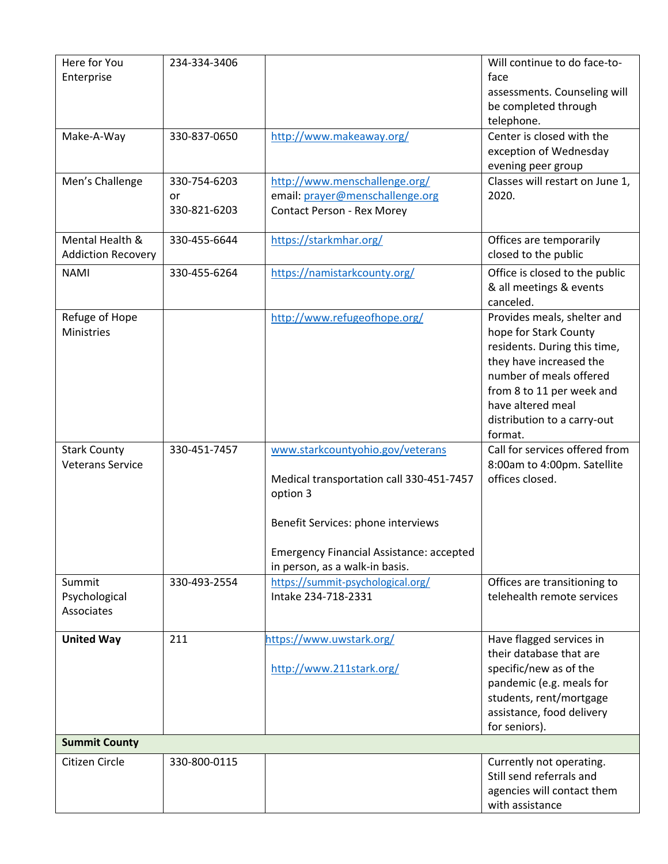| Here for You<br>Enterprise                     | 234-334-3406                       |                                                                                                                                                                                                                     | Will continue to do face-to-<br>face<br>assessments. Counseling will<br>be completed through<br>telephone.                                                                                                                             |
|------------------------------------------------|------------------------------------|---------------------------------------------------------------------------------------------------------------------------------------------------------------------------------------------------------------------|----------------------------------------------------------------------------------------------------------------------------------------------------------------------------------------------------------------------------------------|
| Make-A-Way                                     | 330-837-0650                       | http://www.makeaway.org/                                                                                                                                                                                            | Center is closed with the<br>exception of Wednesday<br>evening peer group                                                                                                                                                              |
| Men's Challenge                                | 330-754-6203<br>or<br>330-821-6203 | http://www.menschallenge.org/<br>email: prayer@menschallenge.org<br>Contact Person - Rex Morey                                                                                                                      | Classes will restart on June 1,<br>2020.                                                                                                                                                                                               |
| Mental Health &<br><b>Addiction Recovery</b>   | 330-455-6644                       | https://starkmhar.org/                                                                                                                                                                                              | Offices are temporarily<br>closed to the public                                                                                                                                                                                        |
| <b>NAMI</b>                                    | 330-455-6264                       | https://namistarkcounty.org/                                                                                                                                                                                        | Office is closed to the public<br>& all meetings & events<br>canceled.                                                                                                                                                                 |
| Refuge of Hope<br>Ministries                   |                                    | http://www.refugeofhope.org/                                                                                                                                                                                        | Provides meals, shelter and<br>hope for Stark County<br>residents. During this time,<br>they have increased the<br>number of meals offered<br>from 8 to 11 per week and<br>have altered meal<br>distribution to a carry-out<br>format. |
| <b>Stark County</b><br><b>Veterans Service</b> | 330-451-7457                       | www.starkcountyohio.gov/veterans<br>Medical transportation call 330-451-7457<br>option 3<br>Benefit Services: phone interviews<br><b>Emergency Financial Assistance: accepted</b><br>in person, as a walk-in basis. | Call for services offered from<br>8:00am to 4:00pm. Satellite<br>offices closed.                                                                                                                                                       |
| Summit<br>Psychological<br>Associates          | 330-493-2554                       | https://summit-psychological.org/<br>Intake 234-718-2331                                                                                                                                                            | Offices are transitioning to<br>telehealth remote services                                                                                                                                                                             |
| <b>United Way</b>                              | 211                                | https://www.uwstark.org/<br>http://www.211stark.org/                                                                                                                                                                | Have flagged services in<br>their database that are<br>specific/new as of the<br>pandemic (e.g. meals for<br>students, rent/mortgage<br>assistance, food delivery<br>for seniors).                                                     |
| <b>Summit County</b>                           |                                    |                                                                                                                                                                                                                     |                                                                                                                                                                                                                                        |
| Citizen Circle                                 | 330-800-0115                       |                                                                                                                                                                                                                     | Currently not operating.<br>Still send referrals and<br>agencies will contact them<br>with assistance                                                                                                                                  |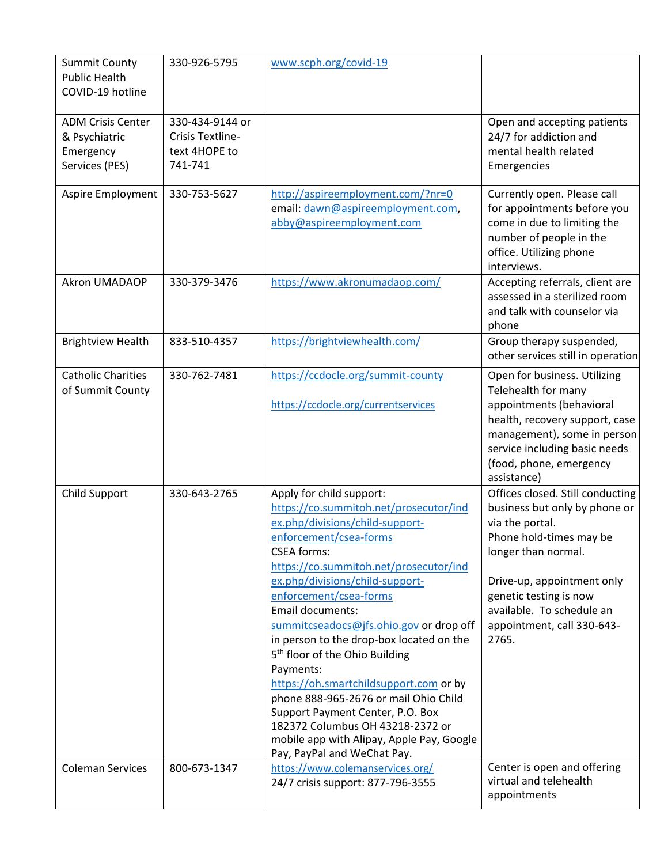| <b>Summit County</b><br><b>Public Health</b><br>COVID-19 hotline         | 330-926-5795                                                    | www.scph.org/covid-19                                                                                                                                                                                                                                                                                                                                                                                                                                                                                                                                                                                                                                                            |                                                                                                                                                                                                                                                                    |
|--------------------------------------------------------------------------|-----------------------------------------------------------------|----------------------------------------------------------------------------------------------------------------------------------------------------------------------------------------------------------------------------------------------------------------------------------------------------------------------------------------------------------------------------------------------------------------------------------------------------------------------------------------------------------------------------------------------------------------------------------------------------------------------------------------------------------------------------------|--------------------------------------------------------------------------------------------------------------------------------------------------------------------------------------------------------------------------------------------------------------------|
| <b>ADM Crisis Center</b><br>& Psychiatric<br>Emergency<br>Services (PES) | 330-434-9144 or<br>Crisis Textline-<br>text 4HOPE to<br>741-741 |                                                                                                                                                                                                                                                                                                                                                                                                                                                                                                                                                                                                                                                                                  | Open and accepting patients<br>24/7 for addiction and<br>mental health related<br>Emergencies                                                                                                                                                                      |
| Aspire Employment                                                        | 330-753-5627                                                    | http://aspireemployment.com/?nr=0<br>email: dawn@aspireemployment.com,<br>abby@aspireemployment.com                                                                                                                                                                                                                                                                                                                                                                                                                                                                                                                                                                              | Currently open. Please call<br>for appointments before you<br>come in due to limiting the<br>number of people in the<br>office. Utilizing phone<br>interviews.                                                                                                     |
| Akron UMADAOP                                                            | 330-379-3476                                                    | https://www.akronumadaop.com/                                                                                                                                                                                                                                                                                                                                                                                                                                                                                                                                                                                                                                                    | Accepting referrals, client are<br>assessed in a sterilized room<br>and talk with counselor via<br>phone                                                                                                                                                           |
| <b>Brightview Health</b>                                                 | 833-510-4357                                                    | https://brightviewhealth.com/                                                                                                                                                                                                                                                                                                                                                                                                                                                                                                                                                                                                                                                    | Group therapy suspended,<br>other services still in operation                                                                                                                                                                                                      |
| <b>Catholic Charities</b><br>of Summit County                            | 330-762-7481                                                    | https://ccdocle.org/summit-county<br>https://ccdocle.org/currentservices                                                                                                                                                                                                                                                                                                                                                                                                                                                                                                                                                                                                         | Open for business. Utilizing<br>Telehealth for many<br>appointments (behavioral<br>health, recovery support, case<br>management), some in person<br>service including basic needs<br>(food, phone, emergency<br>assistance)                                        |
| Child Support                                                            | 330-643-2765                                                    | Apply for child support:<br>https://co.summitoh.net/prosecutor/ind<br>ex.php/divisions/child-support-<br>enforcement/csea-forms<br><b>CSEA forms:</b><br>https://co.summitoh.net/prosecutor/ind<br>ex.php/divisions/child-support-<br>enforcement/csea-forms<br><b>Email documents:</b><br>summitcseadocs@jfs.ohio.gov or drop off<br>in person to the drop-box located on the<br>5 <sup>th</sup> floor of the Ohio Building<br>Payments:<br>https://oh.smartchildsupport.com or by<br>phone 888-965-2676 or mail Ohio Child<br>Support Payment Center, P.O. Box<br>182372 Columbus OH 43218-2372 or<br>mobile app with Alipay, Apple Pay, Google<br>Pay, PayPal and WeChat Pay. | Offices closed. Still conducting<br>business but only by phone or<br>via the portal.<br>Phone hold-times may be<br>longer than normal.<br>Drive-up, appointment only<br>genetic testing is now<br>available. To schedule an<br>appointment, call 330-643-<br>2765. |
| <b>Coleman Services</b>                                                  | 800-673-1347                                                    | https://www.colemanservices.org/<br>24/7 crisis support: 877-796-3555                                                                                                                                                                                                                                                                                                                                                                                                                                                                                                                                                                                                            | Center is open and offering<br>virtual and telehealth<br>appointments                                                                                                                                                                                              |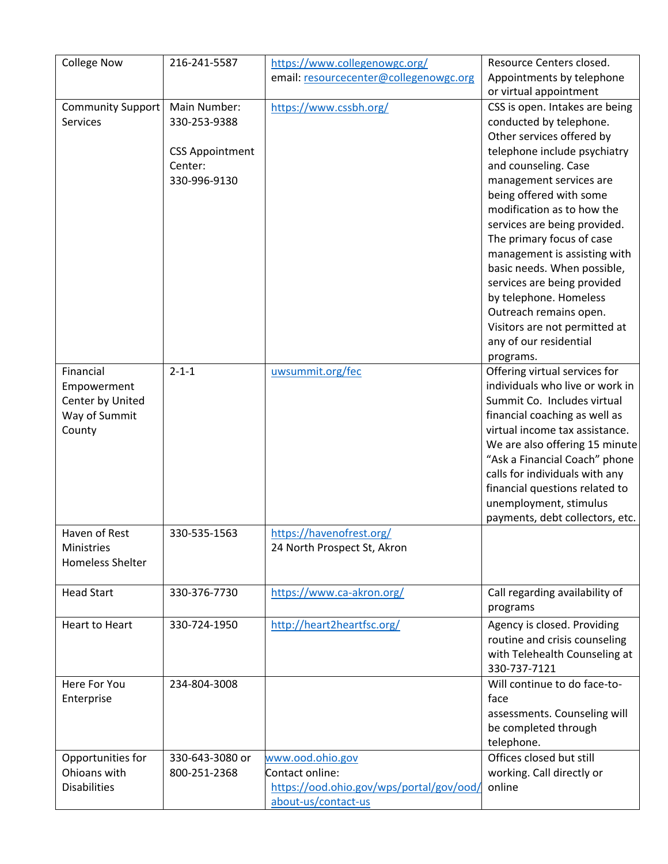| <b>College Now</b>                | 216-241-5587           | https://www.collegenowgc.org/            | Resource Centers closed.                            |
|-----------------------------------|------------------------|------------------------------------------|-----------------------------------------------------|
|                                   |                        | email: resourcecenter@collegenowgc.org   | Appointments by telephone<br>or virtual appointment |
| Community Support                 | Main Number:           | https://www.cssbh.org/                   | CSS is open. Intakes are being                      |
| Services                          | 330-253-9388           |                                          | conducted by telephone.                             |
|                                   |                        |                                          | Other services offered by                           |
|                                   | <b>CSS Appointment</b> |                                          | telephone include psychiatry                        |
|                                   | Center:                |                                          | and counseling. Case                                |
|                                   | 330-996-9130           |                                          | management services are                             |
|                                   |                        |                                          | being offered with some                             |
|                                   |                        |                                          | modification as to how the                          |
|                                   |                        |                                          | services are being provided.                        |
|                                   |                        |                                          | The primary focus of case                           |
|                                   |                        |                                          | management is assisting with                        |
|                                   |                        |                                          | basic needs. When possible,                         |
|                                   |                        |                                          | services are being provided                         |
|                                   |                        |                                          | by telephone. Homeless                              |
|                                   |                        |                                          | Outreach remains open.                              |
|                                   |                        |                                          | Visitors are not permitted at                       |
|                                   |                        |                                          | any of our residential                              |
|                                   |                        |                                          | programs.                                           |
| Financial                         | $2 - 1 - 1$            | uwsummit.org/fec                         | Offering virtual services for                       |
| Empowerment                       |                        |                                          | individuals who live or work in                     |
| Center by United                  |                        |                                          | Summit Co. Includes virtual                         |
| Way of Summit                     |                        |                                          | financial coaching as well as                       |
| County                            |                        |                                          | virtual income tax assistance.                      |
|                                   |                        |                                          | We are also offering 15 minute                      |
|                                   |                        |                                          | "Ask a Financial Coach" phone                       |
|                                   |                        |                                          | calls for individuals with any                      |
|                                   |                        |                                          | financial questions related to                      |
|                                   |                        |                                          | unemployment, stimulus                              |
|                                   |                        |                                          | payments, debt collectors, etc.                     |
| Haven of Rest                     | 330-535-1563           | https://havenofrest.org/                 |                                                     |
| Ministries                        |                        | 24 North Prospect St, Akron              |                                                     |
| <b>Homeless Shelter</b>           |                        |                                          |                                                     |
|                                   |                        |                                          |                                                     |
| <b>Head Start</b>                 | 330-376-7730           | https://www.ca-akron.org/                | Call regarding availability of                      |
|                                   |                        |                                          | programs                                            |
| Heart to Heart                    | 330-724-1950           | http://heart2heartfsc.org/               | Agency is closed. Providing                         |
|                                   |                        |                                          | routine and crisis counseling                       |
|                                   |                        |                                          | with Telehealth Counseling at                       |
|                                   |                        |                                          | 330-737-7121                                        |
| Here For You                      | 234-804-3008           |                                          | Will continue to do face-to-                        |
| Enterprise                        |                        |                                          | face                                                |
|                                   |                        |                                          | assessments. Counseling will                        |
|                                   |                        |                                          | be completed through                                |
|                                   | 330-643-3080 or        |                                          | telephone.<br>Offices closed but still              |
| Opportunities for<br>Ohioans with | 800-251-2368           | www.ood.ohio.gov<br>Contact online:      |                                                     |
|                                   |                        |                                          | working. Call directly or                           |
| <b>Disabilities</b>               |                        | https://ood.ohio.gov/wps/portal/gov/ood/ | online                                              |
|                                   |                        | about-us/contact-us                      |                                                     |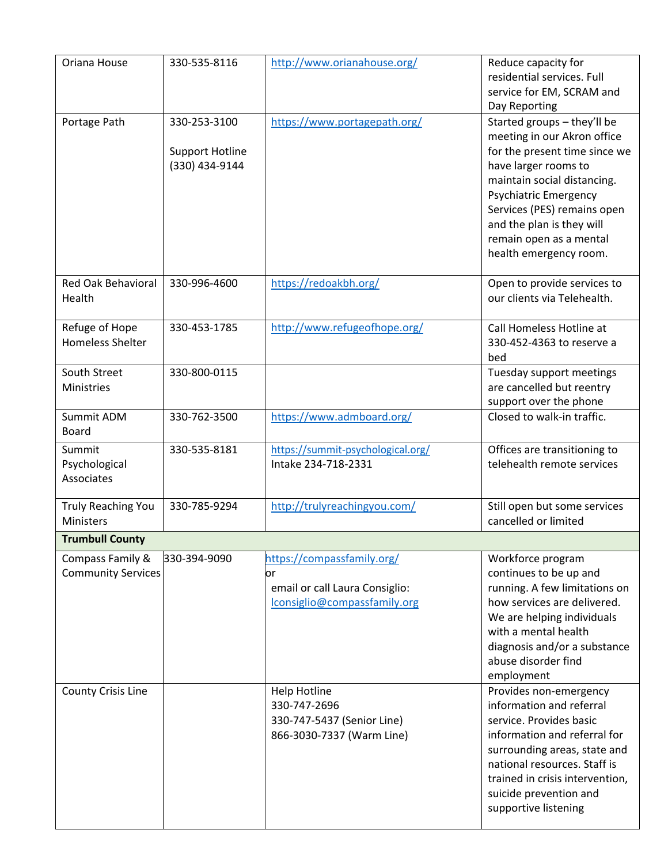| Oriana House                                  | 330-535-8116                                             | http://www.orianahouse.org/                                                                        | Reduce capacity for<br>residential services. Full<br>service for EM, SCRAM and<br>Day Reporting                                                                                                                                                                                                     |  |  |  |
|-----------------------------------------------|----------------------------------------------------------|----------------------------------------------------------------------------------------------------|-----------------------------------------------------------------------------------------------------------------------------------------------------------------------------------------------------------------------------------------------------------------------------------------------------|--|--|--|
| Portage Path                                  | 330-253-3100<br><b>Support Hotline</b><br>(330) 434-9144 | https://www.portagepath.org/                                                                       | Started groups - they'll be<br>meeting in our Akron office<br>for the present time since we<br>have larger rooms to<br>maintain social distancing.<br><b>Psychiatric Emergency</b><br>Services (PES) remains open<br>and the plan is they will<br>remain open as a mental<br>health emergency room. |  |  |  |
| <b>Red Oak Behavioral</b><br>Health           | 330-996-4600                                             | https://redoakbh.org/                                                                              | Open to provide services to<br>our clients via Telehealth.                                                                                                                                                                                                                                          |  |  |  |
| Refuge of Hope<br><b>Homeless Shelter</b>     | 330-453-1785                                             | http://www.refugeofhope.org/                                                                       | Call Homeless Hotline at<br>330-452-4363 to reserve a<br>bed                                                                                                                                                                                                                                        |  |  |  |
| South Street<br>Ministries                    | 330-800-0115                                             |                                                                                                    | Tuesday support meetings<br>are cancelled but reentry<br>support over the phone                                                                                                                                                                                                                     |  |  |  |
| Summit ADM<br>Board                           | 330-762-3500                                             | https://www.admboard.org/                                                                          | Closed to walk-in traffic.                                                                                                                                                                                                                                                                          |  |  |  |
| Summit<br>Psychological<br>Associates         | 330-535-8181                                             | https://summit-psychological.org/<br>Intake 234-718-2331                                           | Offices are transitioning to<br>telehealth remote services                                                                                                                                                                                                                                          |  |  |  |
| <b>Truly Reaching You</b><br>Ministers        | 330-785-9294                                             | http://trulyreachingyou.com/                                                                       | Still open but some services<br>cancelled or limited                                                                                                                                                                                                                                                |  |  |  |
| <b>Trumbull County</b>                        |                                                          |                                                                                                    |                                                                                                                                                                                                                                                                                                     |  |  |  |
| Compass Family &<br><b>Community Services</b> | 330-394-9090                                             | https://compassfamily.org/<br>or<br>email or call Laura Consiglio:<br>lconsiglio@compassfamily.org | Workforce program<br>continues to be up and<br>running. A few limitations on<br>how services are delivered.<br>We are helping individuals<br>with a mental health<br>diagnosis and/or a substance<br>abuse disorder find<br>employment                                                              |  |  |  |
| <b>County Crisis Line</b>                     |                                                          | <b>Help Hotline</b><br>330-747-2696<br>330-747-5437 (Senior Line)<br>866-3030-7337 (Warm Line)     | Provides non-emergency<br>information and referral<br>service. Provides basic<br>information and referral for<br>surrounding areas, state and<br>national resources. Staff is<br>trained in crisis intervention,<br>suicide prevention and<br>supportive listening                                  |  |  |  |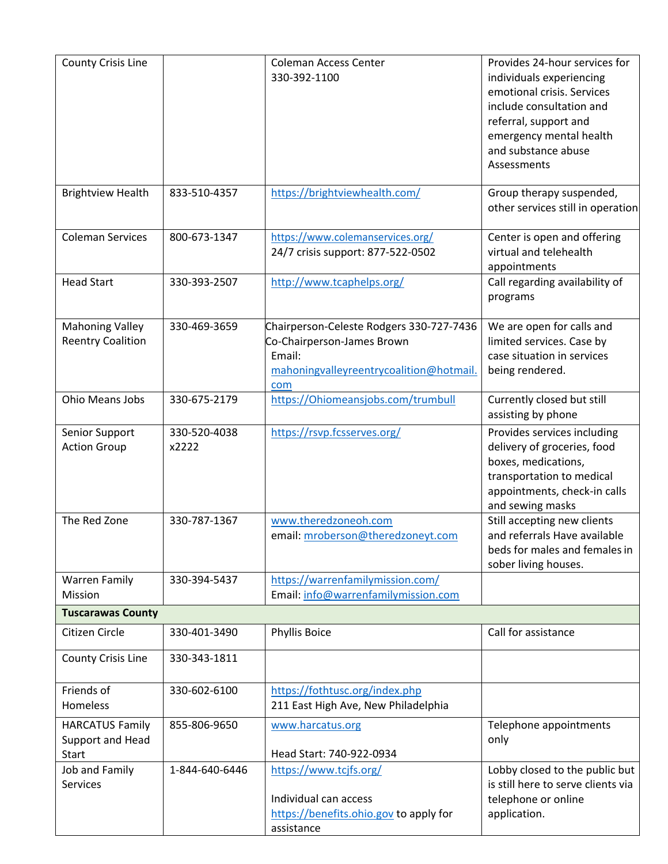| County Crisis Line                                         |                       | <b>Coleman Access Center</b><br>330-392-1100                                                                                       | Provides 24-hour services for<br>individuals experiencing<br>emotional crisis. Services<br>include consultation and<br>referral, support and<br>emergency mental health<br>and substance abuse<br>Assessments |
|------------------------------------------------------------|-----------------------|------------------------------------------------------------------------------------------------------------------------------------|---------------------------------------------------------------------------------------------------------------------------------------------------------------------------------------------------------------|
| <b>Brightview Health</b>                                   | 833-510-4357          | https://brightviewhealth.com/                                                                                                      | Group therapy suspended,<br>other services still in operation                                                                                                                                                 |
| <b>Coleman Services</b>                                    | 800-673-1347          | https://www.colemanservices.org/<br>24/7 crisis support: 877-522-0502                                                              | Center is open and offering<br>virtual and telehealth<br>appointments                                                                                                                                         |
| <b>Head Start</b>                                          | 330-393-2507          | http://www.tcaphelps.org/                                                                                                          | Call regarding availability of<br>programs                                                                                                                                                                    |
| <b>Mahoning Valley</b><br><b>Reentry Coalition</b>         | 330-469-3659          | Chairperson-Celeste Rodgers 330-727-7436<br>Co-Chairperson-James Brown<br>Email:<br>mahoningvalleyreentrycoalition@hotmail.<br>com | We are open for calls and<br>limited services. Case by<br>case situation in services<br>being rendered.                                                                                                       |
| Ohio Means Jobs                                            | 330-675-2179          | https://Ohiomeansjobs.com/trumbull                                                                                                 | Currently closed but still<br>assisting by phone                                                                                                                                                              |
| Senior Support<br><b>Action Group</b>                      | 330-520-4038<br>x2222 | https://rsvp.fcsserves.org/                                                                                                        | Provides services including<br>delivery of groceries, food<br>boxes, medications,<br>transportation to medical<br>appointments, check-in calls<br>and sewing masks                                            |
| The Red Zone                                               | 330-787-1367          | www.theredzoneoh.com<br>email: mroberson@theredzoneyt.com                                                                          | Still accepting new clients<br>and referrals Have available<br>beds for males and females in<br>sober living houses.                                                                                          |
| <b>Warren Family</b><br>Mission                            | 330-394-5437          | https://warrenfamilymission.com/<br>Email: info@warrenfamilymission.com                                                            |                                                                                                                                                                                                               |
| <b>Tuscarawas County</b>                                   |                       |                                                                                                                                    |                                                                                                                                                                                                               |
| Citizen Circle                                             | 330-401-3490          | <b>Phyllis Boice</b>                                                                                                               | Call for assistance                                                                                                                                                                                           |
| <b>County Crisis Line</b>                                  | 330-343-1811          |                                                                                                                                    |                                                                                                                                                                                                               |
| Friends of<br>Homeless                                     | 330-602-6100          | https://fothtusc.org/index.php<br>211 East High Ave, New Philadelphia                                                              |                                                                                                                                                                                                               |
| <b>HARCATUS Family</b><br>Support and Head<br><b>Start</b> | 855-806-9650          | www.harcatus.org<br>Head Start: 740-922-0934                                                                                       | Telephone appointments<br>only                                                                                                                                                                                |
| Job and Family<br>Services                                 | 1-844-640-6446        | https://www.tcjfs.org/<br>Individual can access<br>https://benefits.ohio.gov to apply for<br>assistance                            | Lobby closed to the public but<br>is still here to serve clients via<br>telephone or online<br>application.                                                                                                   |